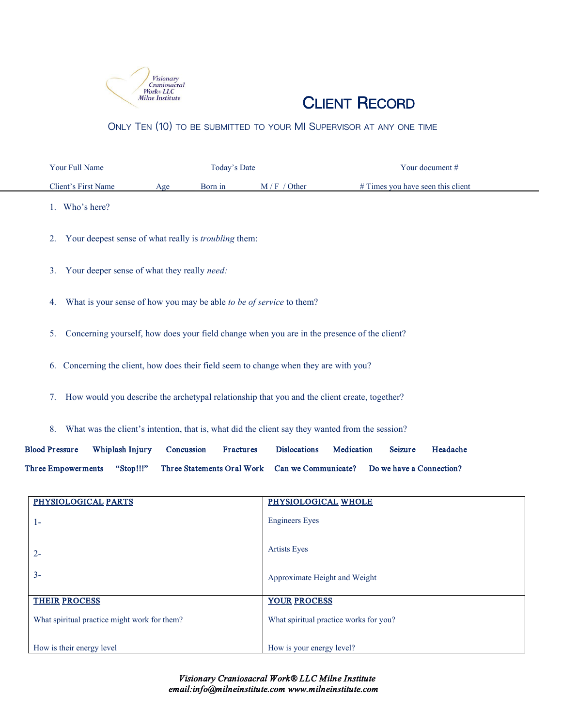

## CLIENT RECORD

ONLY TEN (10) TO BE SUBMITTED TO YOUR MI SUPERVISOR AT ANY ONE TIME

| Your Full Name      |     | Today's Date |              | Your document $#$                   |
|---------------------|-----|--------------|--------------|-------------------------------------|
| Client's First Name | Age | Born in      | $M/F/O$ ther | $#$ Times you have seen this client |

- 1. Who's here?
- 2. Your deepest sense of what really is *troubling* them:
- 3. Your deeper sense of what they really *need:*
- 4. What is your sense of how you may be able *to be of service* to them?
- 5. Concerning yourself, how does your field change when you are in the presence of the client?
- 6. Concerning the client, how does their field seem to change when they are with you?
- 7. How would you describe the archetypal relationship that you and the client create, together?
- 8. What was the client's intention, that is, what did the client say they wanted from the session?

Blood Pressure Whiplash Injury Concussion Fractures Dislocations Medication Seizure Headache Three Empowerments "Stop!!!" Three Statements Oral Work Can we Communicate? Do we have a Connection?

| PHYSIOLOGICAL PARTS<br>PHYSIOLOGICAL WHOLE<br><b>Engineers</b> Eyes<br>$1 -$<br><b>Artists Eyes</b><br>$2 -$<br>$3 -$<br>Approximate Height and Weight<br><b>THEIR PROCESS</b><br><b>YOUR PROCESS</b><br>What spiritual practice might work for them?<br>What spiritual practice works for you?<br>How is their energy level<br>How is your energy level? |  |  |  |
|-----------------------------------------------------------------------------------------------------------------------------------------------------------------------------------------------------------------------------------------------------------------------------------------------------------------------------------------------------------|--|--|--|
|                                                                                                                                                                                                                                                                                                                                                           |  |  |  |
|                                                                                                                                                                                                                                                                                                                                                           |  |  |  |
|                                                                                                                                                                                                                                                                                                                                                           |  |  |  |
|                                                                                                                                                                                                                                                                                                                                                           |  |  |  |
|                                                                                                                                                                                                                                                                                                                                                           |  |  |  |
|                                                                                                                                                                                                                                                                                                                                                           |  |  |  |
|                                                                                                                                                                                                                                                                                                                                                           |  |  |  |
|                                                                                                                                                                                                                                                                                                                                                           |  |  |  |
|                                                                                                                                                                                                                                                                                                                                                           |  |  |  |
|                                                                                                                                                                                                                                                                                                                                                           |  |  |  |
|                                                                                                                                                                                                                                                                                                                                                           |  |  |  |
|                                                                                                                                                                                                                                                                                                                                                           |  |  |  |
|                                                                                                                                                                                                                                                                                                                                                           |  |  |  |
|                                                                                                                                                                                                                                                                                                                                                           |  |  |  |
|                                                                                                                                                                                                                                                                                                                                                           |  |  |  |
|                                                                                                                                                                                                                                                                                                                                                           |  |  |  |
|                                                                                                                                                                                                                                                                                                                                                           |  |  |  |
|                                                                                                                                                                                                                                                                                                                                                           |  |  |  |
|                                                                                                                                                                                                                                                                                                                                                           |  |  |  |
|                                                                                                                                                                                                                                                                                                                                                           |  |  |  |
|                                                                                                                                                                                                                                                                                                                                                           |  |  |  |
|                                                                                                                                                                                                                                                                                                                                                           |  |  |  |

*Visionary Craniosacral Work® LLC Milne Institute email:info@milneinstitute.com www.milneinstitute.com*